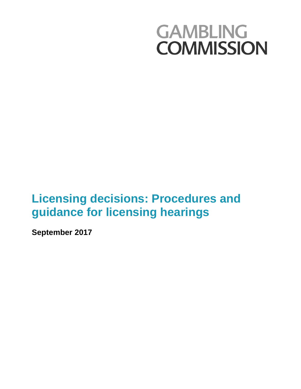# **GAMBLING COMMISSION**

# **Licensing decisions: Procedures and guidance for licensing hearings**

**September 2017**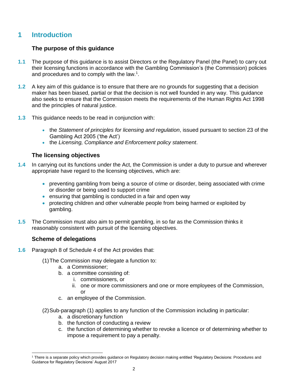# **1 Introduction**

#### **The purpose of this guidance**

- **1.1** The purpose of this guidance is to assist Directors or the Regulatory Panel (the Panel) to carry out their licensing functions in accordance with the Gambling Commission's (the Commission) policies and procedures and to comply with the law.<sup>1</sup>.
- **1.2** A key aim of this guidance is to ensure that there are no grounds for suggesting that a decision maker has been biased, partial or that the decision is not well founded in any way. This guidance also seeks to ensure that the Commission meets the requirements of the Human Rights Act 1998 and the principles of natural justice.
- **1.3** This guidance needs to be read in conjunction with:
	- the *Statement of principles for licensing and regulation*, issued pursuant to section 23 of the Gambling Act 2005 ('the Act')
	- the *Licensing, Compliance and Enforcement policy statement*.

#### **The licensing objectives**

- **1.4** In carrying out its functions under the Act, the Commission is under a duty to pursue and wherever appropriate have regard to the licensing objectives, which are:
	- preventing gambling from being a source of crime or disorder, being associated with crime or disorder or being used to support crime
	- ensuring that gambling is conducted in a fair and open way
	- protecting children and other vulnerable people from being harmed or exploited by gambling.
- **1.5** The Commission must also aim to permit gambling, in so far as the Commission thinks it reasonably consistent with pursuit of the licensing objectives.

#### **Scheme of delegations**

- **1.6** Paragraph 8 of Schedule 4 of the Act provides that:
	- (1)The Commission may delegate a function to:
		- a. a Commissioner;
		- b. a committee consisting of:
			- i. commissioners, or
			- ii. one or more commissioners and one or more employees of the Commission, or
		- c. an employee of the Commission.
	- (2)Sub-paragraph (1) applies to any function of the Commission including in particular:
		- a. a discretionary function
		- b. the function of conducting a review
		- c. the function of determining whether to revoke a licence or of determining whether to impose a requirement to pay a penalty.

l <sup>1</sup> There is a separate policy which provides guidance on Regulatory decision making entitled 'Regulatory Decisions: Procedures and Guidance for Regulatory Decisions' August 2017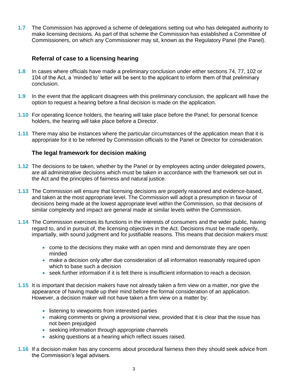**1.7** The Commission has approved a scheme of delegations setting out who has delegated authority to make licensing decisions. As part of that scheme the Commission has established a Committee of Commissioners, on which any Commissioner may sit, known as the Regulatory Panel (the Panel).

#### **Referral of case to a licensing hearing**

- **1.8** In cases where officials have made a preliminary conclusion under either sections 74, 77, 102 or 104 of the Act, a 'minded to' letter will be sent to the applicant to inform them of that preliminary conclusion.
- **1.9** In the event that the applicant disagrees with this preliminary conclusion, the applicant will have the option to request a hearing before a final decision is made on the application.
- **1.10** For operating licence holders, the hearing will take place before the Panel; for personal licence holders, the hearing will take place before a Director.
- **1.11** There may also be instances where the particular circumstances of the application mean that it is appropriate for it to be referred by Commission officials to the Panel or Director for consideration.

#### **The legal framework for decision making**

- **1.12** The decisions to be taken, whether by the Panel or by employees acting under delegated powers, are all administrative decisions which must be taken in accordance with the framework set out in the Act and the principles of fairness and natural justice.
- **1.13** The Commission will ensure that licensing decisions are properly reasoned and evidence-based, and taken at the most appropriate level. The Commission will adopt a presumption in favour of decisions being made at the lowest appropriate level within the Commission, so that decisions of similar complexity and impact are general made at similar levels within the Commission.
- **1.14** The Commission exercises its functions in the interests of consumers and the wider public, having regard to, and in pursuit of, the licensing objectives in the Act. Decisions must be made openly, impartially, with sound judgment and for justifiable reasons. This means that decision makers must:
	- come to the decisions they make with an open mind and demonstrate they are open minded
	- make a decision only after due consideration of all information reasonably required upon which to base such a decision
	- seek further information if it is felt there is insufficient information to reach a decision.
- **1.15** It is important that decision makers have not already taken a firm view on a matter, nor give the appearance of having made up their mind before the formal consideration of an application. However, a decision maker will not have taken a firm view on a matter by:
	- **.** listening to viewpoints from interested parties
	- making comments or giving a provisional view, provided that it is clear that the issue has not been prejudged
	- seeking information through appropriate channels
	- asking questions at a hearing which reflect issues raised.
- **1.16** If a decision maker has any concerns about procedural fairness then they should seek advice from the Commission's legal advisers.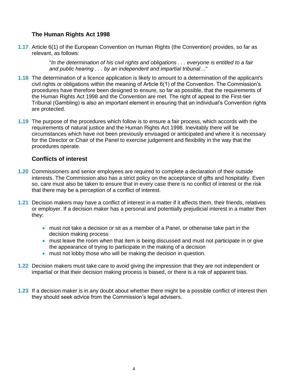#### **The Human Rights Act 1998**

**1.17** Article 6(1) of the European Convention on Human Rights (the Convention) provides, so far as relevant, as follows:

> "*In the determination of his civil rights and obligations . . . everyone is entitled to a fair and public hearing . . . by an independent and impartial tribunal…*"

- **1.18** The determination of a licence application is likely to amount to a determination of the applicant's civil rights or obligations within the meaning of Article 6(1) of the Convention. The Commission's procedures have therefore been designed to ensure, so far as possible, that the requirements of the Human Rights Act 1998 and the Convention are met. The right of appeal to the First-tier Tribunal (Gambling) is also an important element in ensuring that an individual's Convention rights are protected.
- **1.19** The purpose of the procedures which follow is to ensure a fair process, which accords with the requirements of natural justice and the Human Rights Act 1998. Inevitably there will be circumstances which have not been previously envisaged or anticipated and where it is necessary for the Director or Chair of the Panel to exercise judgement and flexibility in the way that the procedures operate.

#### **Conflicts of interest**

- **1.20** Commissioners and senior employees are required to complete a declaration of their outside interests. The Commission also has a strict policy on the acceptance of gifts and hospitality. Even so, care must also be taken to ensure that in every case there is no conflict of interest or the risk that there may be a perception of a conflict of interest.
- **1.21** Decision makers may have a conflict of interest in a matter if it affects them, their friends, relatives or employer. If a decision maker has a personal and potentially prejudicial interest in a matter then they:
	- must not take a decision or sit as a member of a Panel, or otherwise take part in the decision making process
	- must leave the room when that item is being discussed and must not participate in or give the appearance of trying to participate in the making of a decision
	- must not lobby those who will be making the decision in question.
- **1.22** Decision makers must take care to avoid giving the impression that they are not independent or impartial or that their decision making process is biased, or there is a risk of apparent bias.
- **1.23** If a decision maker is in any doubt about whether there might be a possible conflict of interest then they should seek advice from the Commission's legal advisers.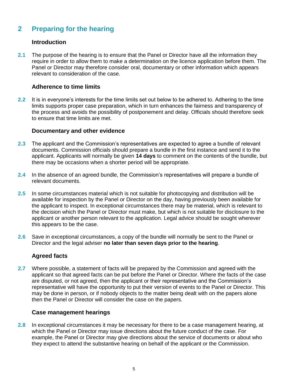# **2 Preparing for the hearing**

#### **Introduction**

**2.1** The purpose of the hearing is to ensure that the Panel or Director have all the information they require in order to allow them to make a determination on the licence application before them. The Panel or Director may therefore consider oral, documentary or other information which appears relevant to consideration of the case.

#### **Adherence to time limits**

**2.2** It is in everyone's interests for the time limits set out below to be adhered to. Adhering to the time limits supports proper case preparation, which in turn enhances the fairness and transparency of the process and avoids the possibility of postponement and delay. Officials should therefore seek to ensure that time limits are met.

#### **Documentary and other evidence**

- **2.3** The applicant and the Commission's representatives are expected to agree a bundle of relevant documents. Commission officials should prepare a bundle in the first instance and send it to the applicant. Applicants will normally be given **14 days** to comment on the contents of the bundle, but there may be occasions when a shorter period will be appropriate.
- **2.4** In the absence of an agreed bundle, the Commission's representatives will prepare a bundle of relevant documents.
- **2.5** In some circumstances material which is not suitable for photocopying and distribution will be available for inspection by the Panel or Director on the day, having previously been available for the applicant to inspect. In exceptional circumstances there may be material, which is relevant to the decision which the Panel or Director must make, but which is not suitable for disclosure to the applicant or another person relevant to the application. Legal advice should be sought wherever this appears to be the case.
- **2.6** Save in exceptional circumstances, a copy of the bundle will normally be sent to the Panel or Director and the legal adviser **no later than seven days prior to the hearing**.

#### **Agreed facts**

**2.7** Where possible, a statement of facts will be prepared by the Commission and agreed with the applicant so that agreed facts can be put before the Panel or Director. Where the facts of the case are disputed, or not agreed, then the applicant or their representative and the Commission's representative will have the opportunity to put their version of events to the Panel or Director. This may be done in person, or if nobody objects to the matter being dealt with on the papers alone then the Panel or Director will consider the case on the papers.

#### **Case management hearings**

**2.8** In exceptional circumstances it may be necessary for there to be a case management hearing, at which the Panel or Director may issue directions about the future conduct of the case. For example, the Panel or Director may give directions about the service of documents or about who they expect to attend the substantive hearing on behalf of the applicant or the Commission.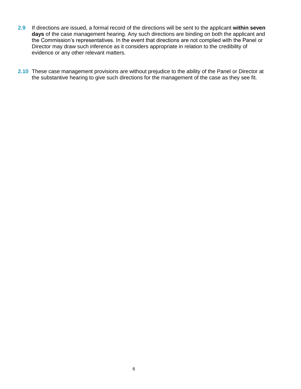- **2.9** If directions are issued, a formal record of the directions will be sent to the applicant **within seven days** of the case management hearing. Any such directions are binding on both the applicant and the Commission's representatives. In the event that directions are not complied with the Panel or Director may draw such inference as it considers appropriate in relation to the credibility of evidence or any other relevant matters.
- **2.10** These case management provisions are without prejudice to the ability of the Panel or Director at the substantive hearing to give such directions for the management of the case as they see fit.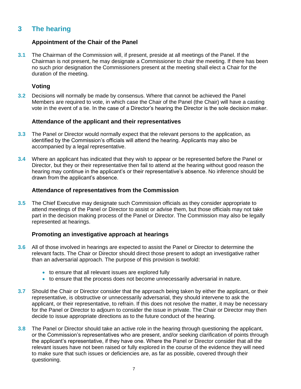## **3 The hearing**

#### **Appointment of the Chair of the Panel**

**3.1** The Chairman of the Commission will, if present, preside at all meetings of the Panel. If the Chairman is not present, he may designate a Commissioner to chair the meeting. If there has been no such prior designation the Commissioners present at the meeting shall elect a Chair for the duration of the meeting.

#### **Voting**

**3.2** Decisions will normally be made by consensus. Where that cannot be achieved the Panel Members are required to vote, in which case the Chair of the Panel (the Chair) will have a casting vote in the event of a tie. In the case of a Director's hearing the Director is the sole decision maker.

#### **Attendance of the applicant and their representatives**

- **3.3** The Panel or Director would normally expect that the relevant persons to the application, as identified by the Commission's officials will attend the hearing. Applicants may also be accompanied by a legal representative.
- **3.4** Where an applicant has indicated that they wish to appear or be represented before the Panel or Director, but they or their representative then fail to attend at the hearing without good reason the hearing may continue in the applicant's or their representative's absence. No inference should be drawn from the applicant's absence.

#### **Attendance of representatives from the Commission**

**3.5** The Chief Executive may designate such Commission officials as they consider appropriate to attend meetings of the Panel or Director to assist or advise them, but those officials may not take part in the decision making process of the Panel or Director. The Commission may also be legally represented at hearings.

#### **Promoting an investigative approach at hearings**

- **3.6** All of those involved in hearings are expected to assist the Panel or Director to determine the relevant facts. The Chair or Director should direct those present to adopt an investigative rather than an adversarial approach. The purpose of this provision is twofold:
	- to ensure that all relevant issues are explored fully
	- to ensure that the process does not become unnecessarily adversarial in nature.
- **3.7** Should the Chair or Director consider that the approach being taken by either the applicant, or their representative, is obstructive or unnecessarily adversarial, they should intervene to ask the applicant, or their representative, to refrain. If this does not resolve the matter, it may be necessary for the Panel or Director to adjourn to consider the issue in private. The Chair or Director may then decide to issue appropriate directions as to the future conduct of the hearing.
- **3.8** The Panel or Director should take an active role in the hearing through questioning the applicant, or the Commission's representatives who are present, and/or seeking clarification of points through the applicant's representative, if they have one. Where the Panel or Director consider that all the relevant issues have not been raised or fully explored in the course of the evidence they will need to make sure that such issues or deficiencies are, as far as possible, covered through their questioning.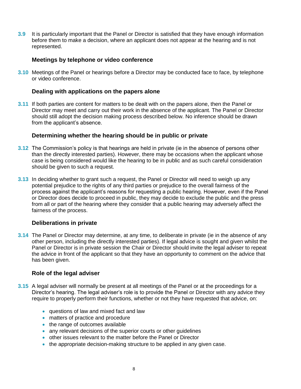**3.9** It is particularly important that the Panel or Director is satisfied that they have enough information before them to make a decision, where an applicant does not appear at the hearing and is not represented.

#### **Meetings by telephone or video conference**

**3.10** Meetings of the Panel or hearings before a Director may be conducted face to face, by telephone or video conference.

#### **Dealing with applications on the papers alone**

**3.11** If both parties are content for matters to be dealt with on the papers alone, then the Panel or Director may meet and carry out their work in the absence of the applicant. The Panel or Director should still adopt the decision making process described below. No inference should be drawn from the applicant's absence.

#### **Determining whether the hearing should be in public or private**

- **3.12** The Commission's policy is that hearings are held in private (ie in the absence of persons other than the directly interested parties). However, there may be occasions when the applicant whose case is being considered would like the hearing to be in public and as such careful consideration should be given to such a request.
- **3.13** In deciding whether to grant such a request, the Panel or Director will need to weigh up any potential prejudice to the rights of any third parties or prejudice to the overall fairness of the process against the applicant's reasons for requesting a public hearing. However, even if the Panel or Director does decide to proceed in public, they may decide to exclude the public and the press from all or part of the hearing where they consider that a public hearing may adversely affect the fairness of the process.

#### **Deliberations in private**

**3.14** The Panel or Director may determine, at any time, to deliberate in private (ie in the absence of any other person, including the directly interested parties). If legal advice is sought and given whilst the Panel or Director is in private session the Chair or Director should invite the legal adviser to repeat the advice in front of the applicant so that they have an opportunity to comment on the advice that has been given.

#### **Role of the legal adviser**

- **3.15** A legal adviser will normally be present at all meetings of the Panel or at the proceedings for a Director's hearing. The legal adviser's role is to provide the Panel or Director with any advice they require to properly perform their functions, whether or not they have requested that advice, on:
	- questions of law and mixed fact and law
	- matters of practice and procedure
	- the range of outcomes available
	- any relevant decisions of the superior courts or other guidelines
	- other issues relevant to the matter before the Panel or Director
	- the appropriate decision-making structure to be applied in any given case.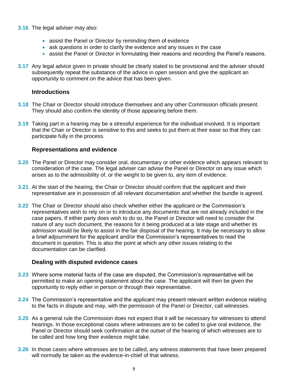#### **3.16** The legal adviser may also:

- assist the Panel or Director by reminding them of evidence
- ask questions in order to clarify the evidence and any issues in the case
- assist the Panel or Director in formulating their reasons and recording the Panel's reasons.
- **3.17** Any legal advice given in private should be clearly stated to be provisional and the adviser should subsequently repeat the substance of the advice in open session and give the applicant an opportunity to comment on the advice that has been given.

#### **Introductions**

- **3.18** The Chair or Director should introduce themselves and any other Commission officials present. They should also confirm the identity of those appearing before them.
- **3.19** Taking part in a hearing may be a stressful experience for the individual involved. It is important that the Chair or Director is sensitive to this and seeks to put them at their ease so that they can participate fully in the process.

#### **Representations and evidence**

- **3.20** The Panel or Director may consider oral, documentary or other evidence which appears relevant to consideration of the case. The legal adviser can advise the Panel or Director on any issue which arises as to the admissibility of, or the weight to be given to, any item of evidence.
- **3.21** At the start of the hearing, the Chair or Director should confirm that the applicant and their representative are in possession of all relevant documentation and whether the bundle is agreed.
- **3.22** The Chair or Director should also check whether either the applicant or the Commission's representatives wish to rely on or to introduce any documents that are not already included in the case papers. If either party does wish to do so, the Panel or Director will need to consider the nature of any such document, the reasons for it being produced at a late stage and whether its admission would be likely to assist in the fair disposal of the hearing. It may be necessary to allow a brief adjournment for the applicant and/or the Commission's representatives to read the document in question. This is also the point at which any other issues relating to the documentation can be clarified.

#### **Dealing with disputed evidence cases**

- **3.23** Where some material facts of the case are disputed, the Commission's representative will be permitted to make an opening statement about the case. The applicant will then be given the opportunity to reply either in person or through their representative.
- **3.24** The Commission's representative and the applicant may present relevant written evidence relating to the facts in dispute and may, with the permission of the Panel or Director, call witnesses.
- **3.25** As a general rule the Commission does not expect that it will be necessary for witnesses to attend hearings. In those exceptional cases where witnesses are to be called to give oral evidence, the Panel or Director should seek confirmation at the outset of the hearing of which witnesses are to be called and how long their evidence might take.
- **3.26** In those cases where witnesses are to be called, any witness statements that have been prepared will normally be taken as the evidence-in-chief of that witness.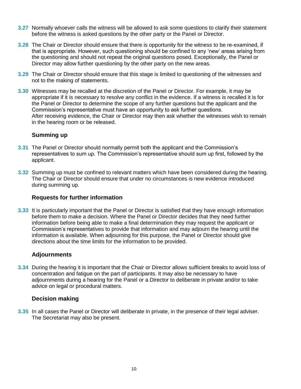- **3.27** Normally whoever calls the witness will be allowed to ask some questions to clarify their statement before the witness is asked questions by the other party or the Panel or Director.
- **3.28** The Chair or Director should ensure that there is opportunity for the witness to be re-examined, if that is appropriate. However, such questioning should be confined to any 'new' areas arising from the questioning and should not repeat the original questions posed. Exceptionally, the Panel or Director may allow further questioning by the other party on the new areas.
- **3.29** The Chair or Director should ensure that this stage is limited to questioning of the witnesses and not to the making of statements.
- **3.30** Witnesses may be recalled at the discretion of the Panel or Director. For example, it may be appropriate if it is necessary to resolve any conflict in the evidence. If a witness is recalled it is for the Panel or Director to determine the scope of any further questions but the applicant and the Commission's representative must have an opportunity to ask further questions. After receiving evidence, the Chair or Director may then ask whether the witnesses wish to remain in the hearing room or be released.

#### **Summing up**

- **3.31** The Panel or Director should normally permit both the applicant and the Commission's representatives to sum up. The Commission's representative should sum up first, followed by the applicant.
- **3.32** Summing up must be confined to relevant matters which have been considered during the hearing. The Chair or Director should ensure that under no circumstances is new evidence introduced during summing up.

#### **Requests for further information**

**3.33** It is particularly important that the Panel or Director is satisfied that they have enough information before them to make a decision. Where the Panel or Director decides that they need further information before being able to make a final determination they may request the applicant or Commission's representatives to provide that information and may adjourn the hearing until the information is available. When adjourning for this purpose, the Panel or Director should give directions about the time limits for the information to be provided.

#### **Adjournments**

**3.34** During the hearing it is important that the Chair or Director allows sufficient breaks to avoid loss of concentration and fatigue on the part of participants. It may also be necessary to have adjournments during a hearing for the Panel or a Director to deliberate in private and/or to take advice on legal or procedural matters.

#### **Decision making**

**3.35** In all cases the Panel or Director will deliberate in private, in the presence of their legal adviser. The Secretariat may also be present.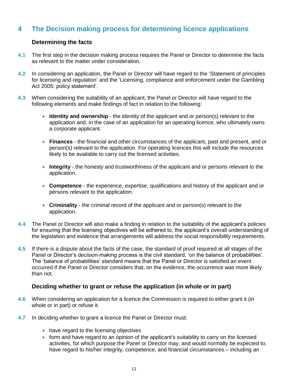## **4 The Decision making process for determining licence applications**

#### **Determining the facts**

- **4.1** The first step in the decision making process requires the Panel or Director to determine the facts as relevant to the matter under consideration.
- **4.2** In considering an application, the Panel or Director will have regard to the 'Statement of principles for licensing and regulation' and the 'Licensing, compliance and enforcement under the Gambling Act 2005: policy statement'.
- **4.3** When considering the suitability of an applicant, the Panel or Director will have regard to the following elements and make findings of fact in relation to the following:
	- **Identity and ownership** the identity of the applicant and or person(s) relevant to the application and, in the case of an application for an operating licence, who ultimately owns a corporate applicant.
	- **Finances**  the financial and other circumstances of the applicant, past and present, and or person(s) relevant to the application. For operating licences this will include the resources likely to be available to carry out the licensed activities.
	- **Integrity**  the honesty and trustworthiness of the applicant and or persons relevant to the application.
	- **Competence** the experience, expertise, qualifications and history of the applicant and or persons relevant to the application.
	- **Criminality**  the criminal record of the applicant and or person(s) relevant to the application.
- **4.4** The Panel or Director will also make a finding in relation to the suitability of the applicant's policies for ensuring that the licensing objectives will be adhered to, the applicant's overall understanding of the legislation and evidence that arrangements will address the social responsibility requirements.
- **4.5** If there is a dispute about the facts of the case, the standard of proof required at all stages of the Panel or Director's decision-making process is the civil standard, 'on the balance of probabilities'. The 'balance of probabilities' standard means that the Panel or Director is satisfied an event occurred if the Panel or Director considers that, on the evidence, the occurrence was more likely than not.

#### **Deciding whether to grant or refuse the application (in whole or in part)**

- **4.6** When considering an application for a licence the Commission is required to either grant it (in whole or in part) or refuse it.
- **4.7** In deciding whether to grant a licence the Panel or Director must:
	- have regard to the licensing objectives
	- form and have regard to an opinion of the applicant's suitability to carry on the licensed activities, for which purpose the Panel or Director may, and would normally be expected to, have regard to his/her integrity, competence, and financial circumstances – including an